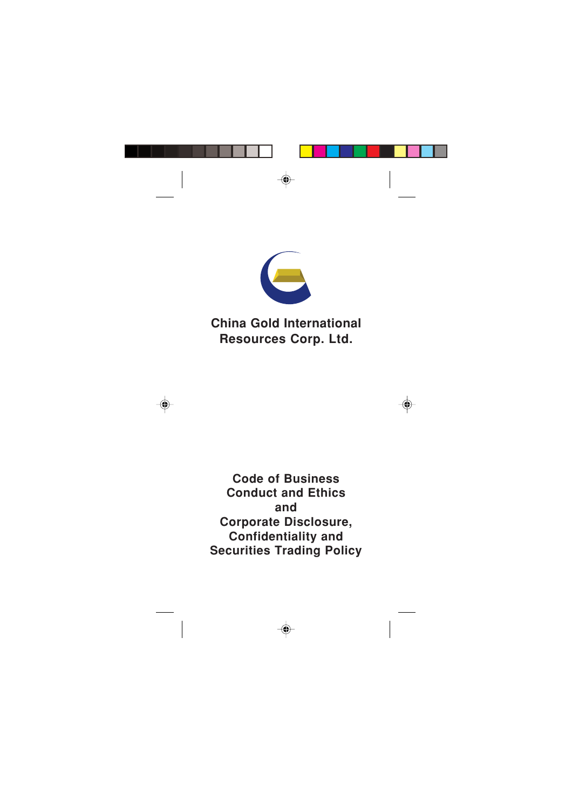

# **China Gold International Resources Corp. Ltd.**

# **Code of Business Conduct and Ethics and Corporate Disclosure, Confidentiality and Securities Trading Policy**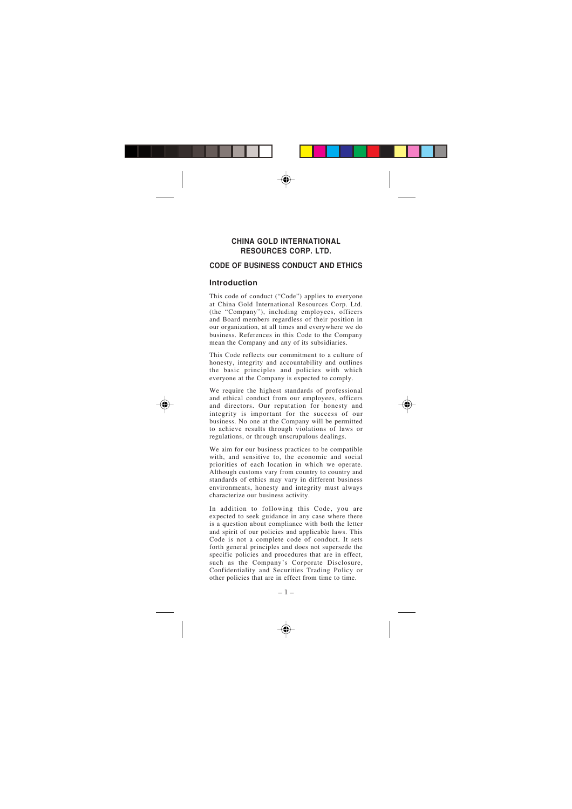## **CHINA GOLD INTERNATIONAL RESOURCES CORP. LTD.**

## **CODE OF BUSINESS CONDUCT AND ETHICS**

## **Introduction**

This code of conduct ("Code") applies to everyone at China Gold International Resources Corp. Ltd. (the "Company"), including employees, officers and Board members regardless of their position in our organization, at all times and everywhere we do business. References in this Code to the Company mean the Company and any of its subsidiaries.

This Code reflects our commitment to a culture of honesty, integrity and accountability and outlines the basic principles and policies with which everyone at the Company is expected to comply.

We require the highest standards of professional and ethical conduct from our employees, officers and directors. Our reputation for honesty and integrity is important for the success of our business. No one at the Company will be permitted to achieve results through violations of laws or regulations, or through unscrupulous dealings.

We aim for our business practices to be compatible with, and sensitive to, the economic and social priorities of each location in which we operate. Although customs vary from country to country and standards of ethics may vary in different business environments, honesty and integrity must always characterize our business activity.

In addition to following this Code, you are expected to seek guidance in any case where there is a question about compliance with both the letter and spirit of our policies and applicable laws. This Code is not a complete code of conduct. It sets forth general principles and does not supersede the specific policies and procedures that are in effect, such as the Company's Corporate Disclosure, Confidentiality and Securities Trading Policy or other policies that are in effect from time to time.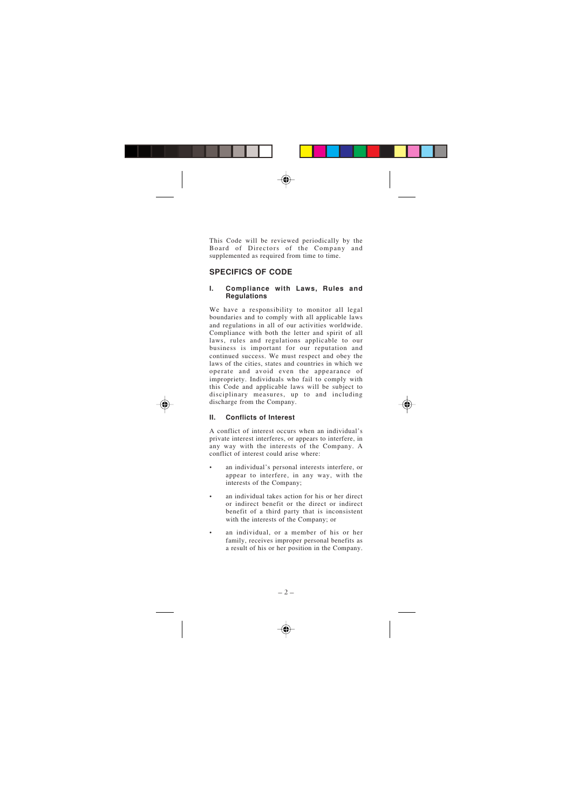This Code will be reviewed periodically by the Board of Directors of the Company and supplemented as required from time to time.

# **SPECIFICS OF CODE**

#### **I. Compliance with Laws, Rules and Regulations**

We have a responsibility to monitor all legal boundaries and to comply with all applicable laws and regulations in all of our activities worldwide. Compliance with both the letter and spirit of all laws, rules and regulations applicable to our business is important for our reputation and continued success. We must respect and obey the laws of the cities, states and countries in which we operate and avoid even the appearance of impropriety. Individuals who fail to comply with this Code and applicable laws will be subject to disciplinary measures, up to and including discharge from the Company.

#### **II. Conflicts of Interest**

A conflict of interest occurs when an individual's private interest interferes, or appears to interfere, in any way with the interests of the Company. A conflict of interest could arise where:

- an individual's personal interests interfere, or appear to interfere, in any way, with the interests of the Company;
- an individual takes action for his or her direct or indirect benefit or the direct or indirect benefit of a third party that is inconsistent with the interests of the Company; or
- an individual, or a member of his or her family, receives improper personal benefits as a result of his or her position in the Company.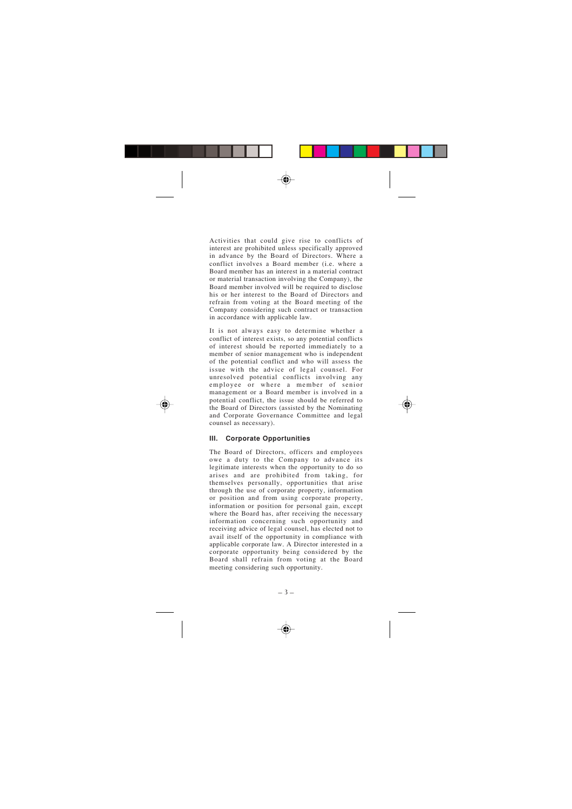Activities that could give rise to conflicts of interest are prohibited unless specifically approved in advance by the Board of Directors. Where a conflict involves a Board member (i.e. where a Board member has an interest in a material contract or material transaction involving the Company), the Board member involved will be required to disclose his or her interest to the Board of Directors and refrain from voting at the Board meeting of the Company considering such contract or transaction in accordance with applicable law.

It is not always easy to determine whether a conflict of interest exists, so any potential conflicts of interest should be reported immediately to a member of senior management who is independent of the potential conflict and who will assess the issue with the advice of legal counsel. For unresolved potential conflicts involving any employee or where a member of senior management or a Board member is involved in a potential conflict, the issue should be referred to the Board of Directors (assisted by the Nominating and Corporate Governance Committee and legal counsel as necessary).

#### **III. Corporate Opportunities**

The Board of Directors, officers and employees owe a duty to the Company to advance its legitimate interests when the opportunity to do so arises and are prohibited from taking, for themselves personally, opportunities that arise through the use of corporate property, information or position and from using corporate property, information or position for personal gain, except where the Board has, after receiving the necessary information concerning such opportunity and receiving advice of legal counsel, has elected not to avail itself of the opportunity in compliance with applicable corporate law. A Director interested in a corporate opportunity being considered by the Board shall refrain from voting at the Board meeting considering such opportunity.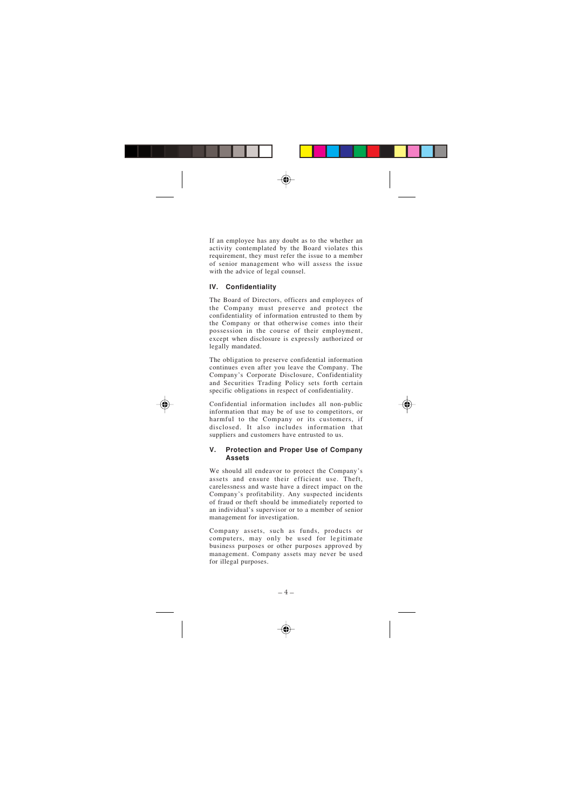If an employee has any doubt as to the whether an activity contemplated by the Board violates this requirement, they must refer the issue to a member of senior management who will assess the issue with the advice of legal counsel.

## **IV. Confidentiality**

The Board of Directors, officers and employees of the Company must preserve and protect the confidentiality of information entrusted to them by the Company or that otherwise comes into their possession in the course of their employment, except when disclosure is expressly authorized or legally mandated.

The obligation to preserve confidential information continues even after you leave the Company. The Company's Corporate Disclosure, Confidentiality and Securities Trading Policy sets forth certain specific obligations in respect of confidentiality.

Confidential information includes all non-public information that may be of use to competitors, or harmful to the Company or its customers, if disclosed. It also includes information that suppliers and customers have entrusted to us.

#### **V. Protection and Proper Use of Company Assets**

We should all endeavor to protect the Company's assets and ensure their efficient use. Theft, carelessness and waste have a direct impact on the Company's profitability. Any suspected incidents of fraud or theft should be immediately reported to an individual's supervisor or to a member of senior management for investigation.

Company assets, such as funds, products or computers, may only be used for legitimate business purposes or other purposes approved by management. Company assets may never be used for illegal purposes.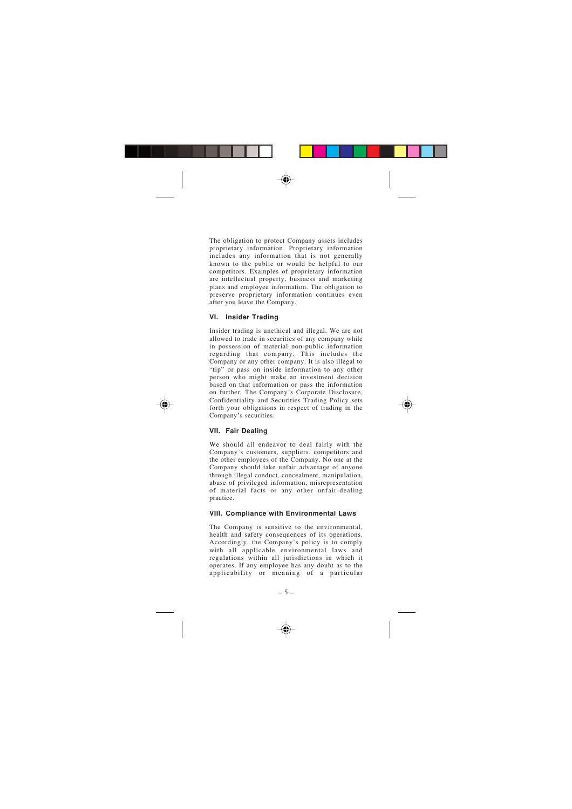The obligation to protect Company assets includes proprietary information. Proprietary information includes any information that is not generally known to the public or would be helpful to our competitors. Examples of proprietary information are intellectual property, business and marketing plans and employee information. The obligation to preserve proprietary information continues even after you leave the Company.

#### **VI. Insider Trading**

Insider trading is unethical and illegal. We are not allowed to trade in securities of any company while in possession of material non-public information regarding that company. This includes the Company or any other company. It is also illegal to "tip" or pass on inside information to any other person who might make an investment decision based on that information or pass the information on further. The Company's Corporate Disclosure, Confidentiality and Securities Trading Policy sets forth your obligations in respect of trading in the Company's securities.

#### **VII. Fair Dealing**

We should all endeavor to deal fairly with the Company's customers, suppliers, competitors and the other employees of the Company. No one at the Company should take unfair advantage of anyone through illegal conduct, concealment, manipulation, abuse of privileged information, misrepresentation of material facts or any other unfair-dealing practice.

#### **VIII. Compliance with Environmental Laws**

The Company is sensitive to the environmental, health and safety consequences of its operations. Accordingly, the Company's policy is to comply with all applicable environmental laws and regulations within all jurisdictions in which it operates. If any employee has any doubt as to the applicability or meaning of a particular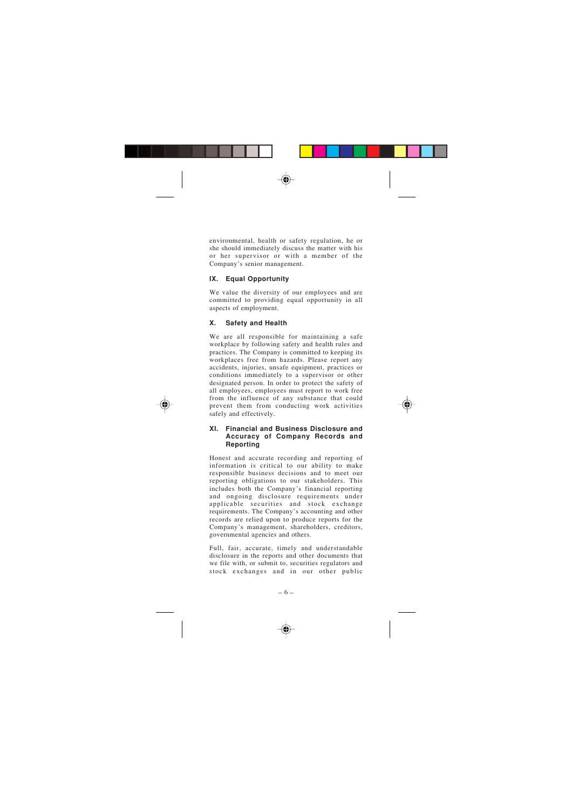environmental, health or safety regulation, he or she should immediately discuss the matter with his or her supervisor or with a member of the Company's senior management.

#### **IX. Equal Opportunity**

We value the diversity of our employees and are committed to providing equal opportunity in all aspects of employment.

#### **X. Safety and Health**

We are all responsible for maintaining a safe workplace by following safety and health rules and practices. The Company is committed to keeping its workplaces free from hazards. Please report any accidents, injuries, unsafe equipment, practices or conditions immediately to a supervisor or other designated person. In order to protect the safety of all employees, employees must report to work free from the influence of any substance that could prevent them from conducting work activities safely and effectively.

#### **XI. Financial and Business Disclosure and Accuracy of Company Records and Reporting**

Honest and accurate recording and reporting of information is critical to our ability to make responsible business decisions and to meet our reporting obligations to our stakeholders. This includes both the Company's financial reporting and ongoing disclosure requirements under applicable securities and stock exchange requirements. The Company's accounting and other records are relied upon to produce reports for the Company's management, shareholders, creditors, governmental agencies and others.

Full, fair, accurate, timely and understandable disclosure in the reports and other documents that we file with, or submit to, securities regulators and stock exchanges and in our other public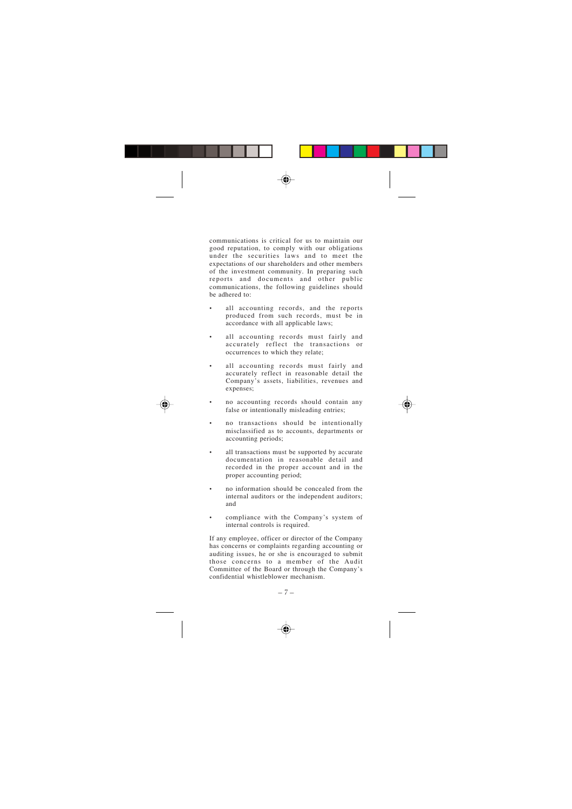communications is critical for us to maintain our good reputation, to comply with our obligations under the securities laws and to meet the expectations of our shareholders and other members of the investment community. In preparing such reports and documents and other public communications, the following guidelines should be adhered to:

- all accounting records, and the reports produced from such records, must be in accordance with all applicable laws;
- all accounting records must fairly and accurately reflect the transactions or occurrences to which they relate;
- all accounting records must fairly and accurately reflect in reasonable detail the Company's assets, liabilities, revenues and expenses;
- no accounting records should contain any false or intentionally misleading entries;
- no transactions should be intentionally misclassified as to accounts, departments or accounting periods;
- all transactions must be supported by accurate documentation in reasonable detail and recorded in the proper account and in the proper accounting period;
- no information should be concealed from the internal auditors or the independent auditors; and
- compliance with the Company's system of internal controls is required.

If any employee, officer or director of the Company has concerns or complaints regarding accounting or auditing issues, he or she is encouraged to submit those concerns to a member of the Audit Committee of the Board or through the Company's confidential whistleblower mechanism.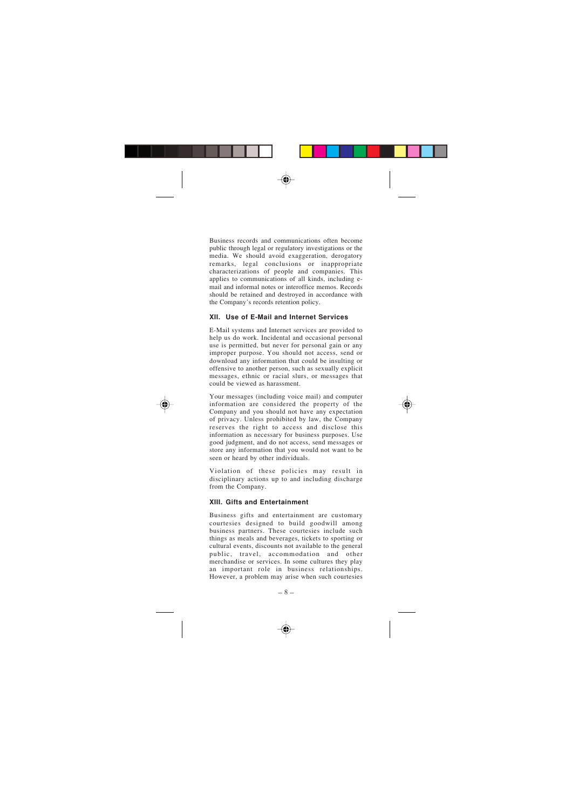Business records and communications often become public through legal or regulatory investigations or the media. We should avoid exaggeration, derogatory remarks, legal conclusions or inappropriate characterizations of people and companies. This applies to communications of all kinds, including email and informal notes or interoffice memos. Records should be retained and destroyed in accordance with the Company's records retention policy.

#### **XII. Use of E-Mail and Internet Services**

E-Mail systems and Internet services are provided to help us do work. Incidental and occasional personal use is permitted, but never for personal gain or any improper purpose. You should not access, send or download any information that could be insulting or offensive to another person, such as sexually explicit messages, ethnic or racial slurs, or messages that could be viewed as harassment.

Your messages (including voice mail) and computer information are considered the property of the Company and you should not have any expectation of privacy. Unless prohibited by law, the Company reserves the right to access and disclose this information as necessary for business purposes. Use good judgment, and do not access, send messages or store any information that you would not want to be seen or heard by other individuals.

Violation of these policies may result in disciplinary actions up to and including discharge from the Company.

#### **XIII. Gifts and Entertainment**

Business gifts and entertainment are customary courtesies designed to build goodwill among business partners. These courtesies include such things as meals and beverages, tickets to sporting or cultural events, discounts not available to the general public, travel, accommodation and other merchandise or services. In some cultures they play an important role in business relationships. However, a problem may arise when such courtesies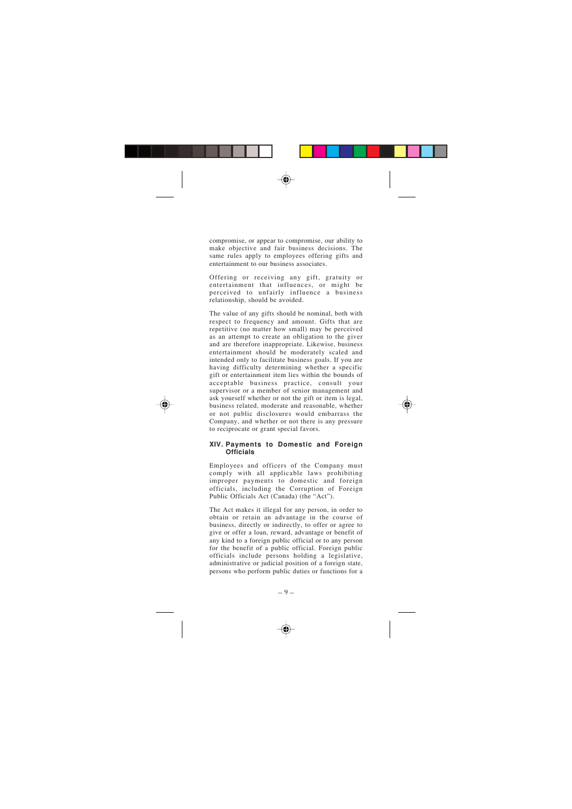compromise, or appear to compromise, our ability to make objective and fair business decisions. The same rules apply to employees offering gifts and entertainment to our business associates.

Offering or receiving any gift, gratuity or entertainment that influences, or might be perceived to unfairly influence a business relationship, should be avoided.

The value of any gifts should be nominal, both with respect to frequency and amount. Gifts that are repetitive (no matter how small) may be perceived as an attempt to create an obligation to the giver and are therefore inappropriate. Likewise, business entertainment should be moderately scaled and intended only to facilitate business goals. If you are having difficulty determining whether a specific gift or entertainment item lies within the bounds of acceptable business practice, consult your supervisor or a member of senior management and ask yourself whether or not the gift or item is legal, business related, moderate and reasonable, whether or not public disclosures would embarrass the Company, and whether or not there is any pressure to reciprocate or grant special favors.

#### **XIV. Payments to Domestic and Foreign Officials**

Employees and officers of the Company must comply with all applicable laws prohibiting improper payments to domestic and foreign officials, including the Corruption of Foreign Public Officials Act (Canada) (the "Act").

The Act makes it illegal for any person, in order to obtain or retain an advantage in the course of business, directly or indirectly, to offer or agree to give or offer a loan, reward, advantage or benefit of any kind to a foreign public official or to any person for the benefit of a public official. Foreign public officials include persons holding a legislative, administrative or judicial position of a foreign state, persons who perform public duties or functions for a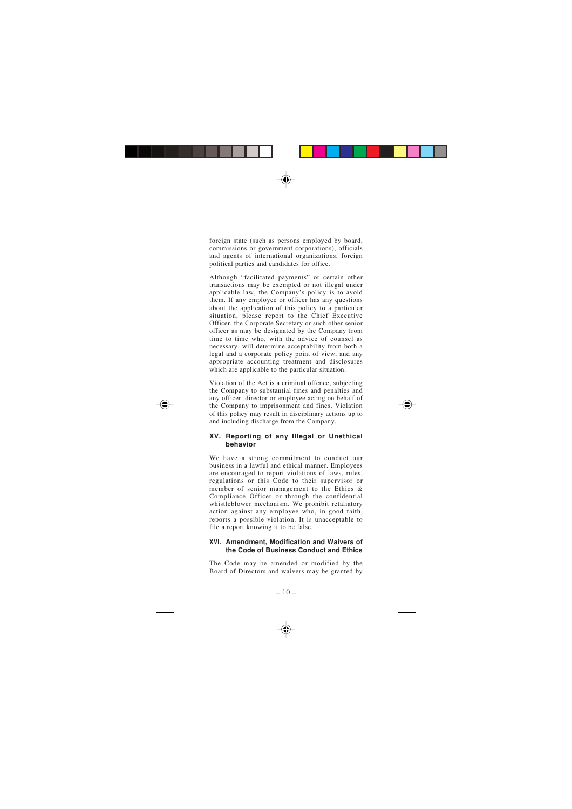foreign state (such as persons employed by board, commissions or government corporations), officials and agents of international organizations, foreign political parties and candidates for office.

Although "facilitated payments" or certain other transactions may be exempted or not illegal under applicable law, the Company's policy is to avoid them. If any employee or officer has any questions about the application of this policy to a particular situation, please report to the Chief Executive Officer, the Corporate Secretary or such other senior officer as may be designated by the Company from time to time who, with the advice of counsel as necessary, will determine acceptability from both a legal and a corporate policy point of view, and any appropriate accounting treatment and disclosures which are applicable to the particular situation.

Violation of the Act is a criminal offence, subjecting the Company to substantial fines and penalties and any officer, director or employee acting on behalf of the Company to imprisonment and fines. Violation of this policy may result in disciplinary actions up to and including discharge from the Company.

#### **XV. Reporting of any Illegal or Unethical behavior**

We have a strong commitment to conduct our business in a lawful and ethical manner. Employees are encouraged to report violations of laws, rules, regulations or this Code to their supervisor or member of senior management to the Ethics & Compliance Officer or through the confidential whistleblower mechanism. We prohibit retaliatory action against any employee who, in good faith, reports a possible violation. It is unacceptable to file a report knowing it to be false.

#### **XVI. Amendment, Modification and Waivers of the Code of Business Conduct and Ethics**

The Code may be amended or modified by the Board of Directors and waivers may be granted by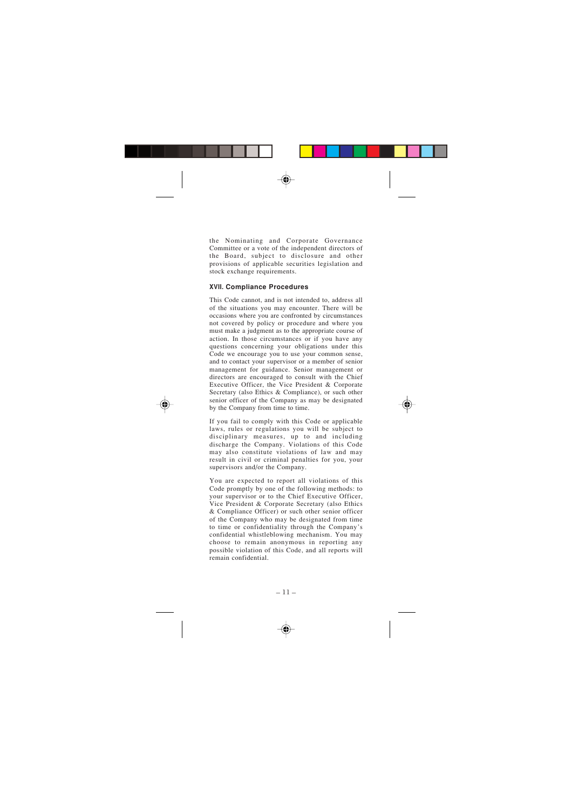the Nominating and Corporate Governance Committee or a vote of the independent directors of the Board, subject to disclosure and other provisions of applicable securities legislation and stock exchange requirements.

#### **XVII. Compliance Procedures**

This Code cannot, and is not intended to, address all of the situations you may encounter. There will be occasions where you are confronted by circumstances not covered by policy or procedure and where you must make a judgment as to the appropriate course of action. In those circumstances or if you have any questions concerning your obligations under this Code we encourage you to use your common sense, and to contact your supervisor or a member of senior management for guidance. Senior management or directors are encouraged to consult with the Chief Executive Officer, the Vice President & Corporate Secretary (also Ethics & Compliance), or such other senior officer of the Company as may be designated by the Company from time to time.

If you fail to comply with this Code or applicable laws, rules or regulations you will be subject to disciplinary measures, up to and including discharge the Company. Violations of this Code may also constitute violations of law and may result in civil or criminal penalties for you, your supervisors and/or the Company.

You are expected to report all violations of this Code promptly by one of the following methods: to your supervisor or to the Chief Executive Officer, Vice President & Corporate Secretary (also Ethics & Compliance Officer) or such other senior officer of the Company who may be designated from time to time or confidentiality through the Company's confidential whistleblowing mechanism. You may choose to remain anonymous in reporting any possible violation of this Code, and all reports will remain confidential.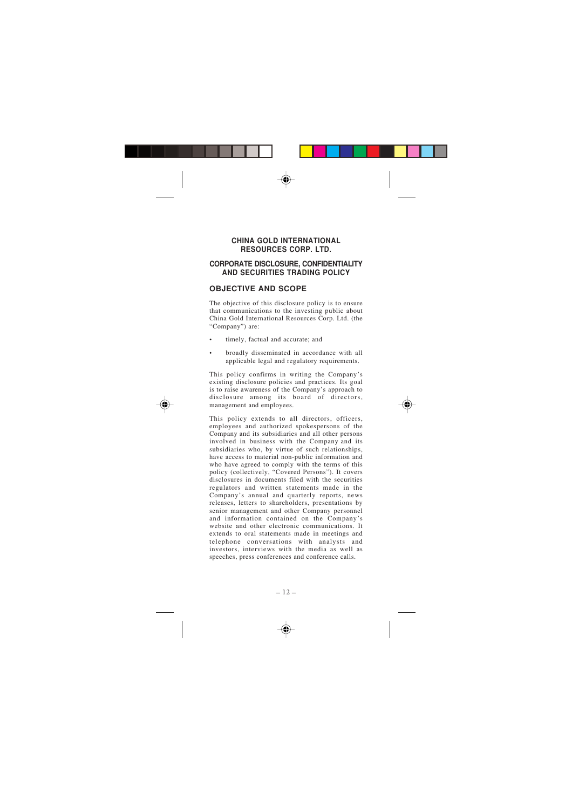## **CHINA GOLD INTERNATIONAL RESOURCES CORP. LTD.**

## **CORPORATE DISCLOSURE, CONFIDENTIALITY AND SECURITIES TRADING POLICY**

## **OBJECTIVE AND SCOPE**

The objective of this disclosure policy is to ensure that communications to the investing public about China Gold International Resources Corp. Ltd. (the "Company") are:

- timely, factual and accurate; and
- broadly disseminated in accordance with all applicable legal and regulatory requirements.

This policy confirms in writing the Company ' s existing disclosure policies and practices. Its goal is to raise awareness of the Company 's approach to disclosure among its board of directors management and employees.

This policy extends to all directors, officers, employees and authorized spokespersons of the Company and its subsidiaries and all other persons involved in business with the Company and its subsidiaries who, by virtue of such relationships, have access to material non-public information and who have agreed to comply with the terms of this policy (collectively, "Covered Persons "). It covers disclosures in documents filed with the securities regulators and written statements made in the Company 's annual and quarterly reports, news releases, letters to shareholders, presentations by senior management and other Company personnel and information contained on the Company ' s website and other electronic communications. It extends to oral statements made in meetings and telephone conversations with analysts and investors, interviews with the media as well as speeches, press conferences and conference calls.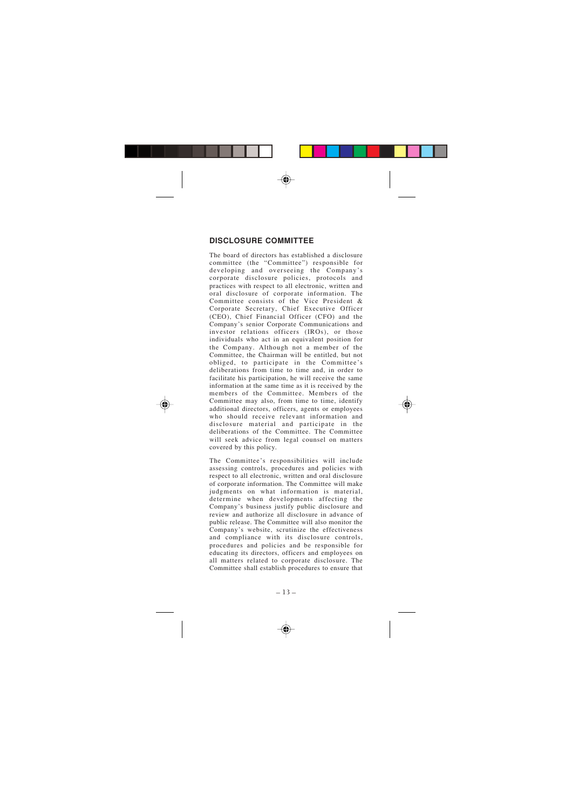# **DISCLOSURE COMMITTEE**

The board of directors has established a disclosure committee (the "Committee") responsible for developing and overseeing the Company ' s corporate disclosure policies, protocols and practices with respect to all electronic, written and oral disclosure of corporate information. The Committee consists of the Vice President & Corporate Secretary, Chief Executive Officer (CEO), Chief Financial Officer (CFO) and the Company 's senior Corporate Communications and investor relations officers (IROs), or those individuals who act in an equivalent position for the Company. Although not a member of the Committee, the Chairman will be entitled, but not obliged, to participate in the Committee ' s deliberations from time to time and, in order to facilitate his participation, he will receive the same information at the same time as it is received by the members of the Committee. Members of the Committee may also, from time to time, identify additional directors, officers, agents or employees who should receive relevant information and disclosure material and participate in the deliberations of the Committee. The Committee will seek advice from legal counsel on matters covered by this policy.

The Committee 's responsibilities will include assessing controls, procedures and policies with respect to all electronic, written and oral disclosure of corporate information. The Committee will make judgments on what information is material. determine when developments affecting the Company 's business justify public disclosure and review and authorize all disclosure in advance of public release. The Committee will also monitor the Company 's website, scrutinize the effectiveness and compliance with its disclosure controls, procedures and policies and be responsible for educating its directors, officers and employees on all matters related to corporate disclosure. The Committee shall establish procedures to ensure that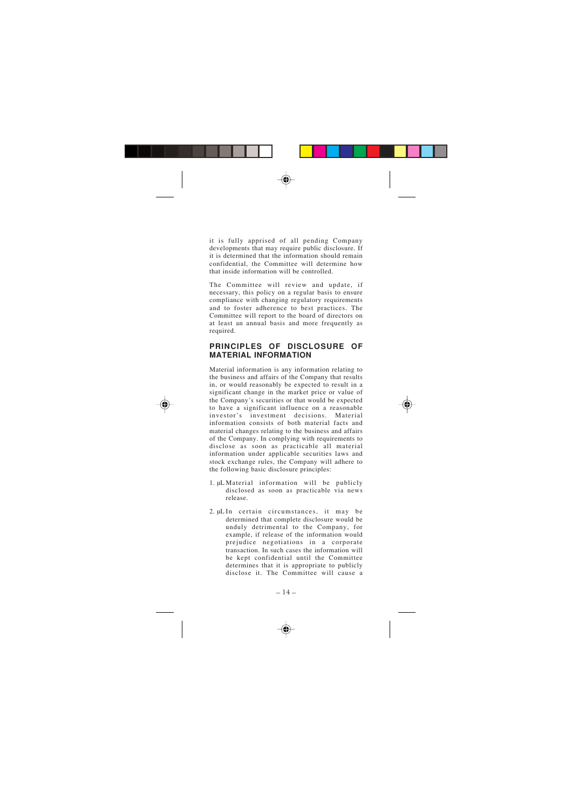it is fully apprised of all pending Company developments that may require public disclosure. If it is determined that the information should remain confidential, the Committee will determine how that inside information will be controlled.

The Committee will review and update, if necessary, this policy on a regular basis to ensure compliance with changing regulatory requirements and to foster adherence to best practices. The Committee will report to the board of directors on at least an annual basis and more frequently as required.

## **PRINCIPLES OF DISCLOSURE OF MATERIAL INFORMATION**

Material information is any information relating to the business and affairs of the Company that results in, or would reasonably be expected to result in a significant change in the market price or value of the Company 's securities or that would be expected to have a significant influence on a reasonable investor 's investment decisions. Material information consists of both material facts and material changes relating to the business and affairs of the Company. In complying with requirements to disclose as soon as practicable all material information under applicable securities laws and stock exchange rules, the Company will adhere to the following basic disclosure principles:

- 1. µL Material information will be publicly disclosed as soon as practicable via news release.
- 2. µL In certain circumstances, it may be determined that complete disclosure would be unduly detrimental to the Company, for example, if release of the information would prejudice negotiations in a corporate transaction. In such cases the information will be kept confidential until the Committee determines that it is appropriate to publicly disclose it. The Committee will cause a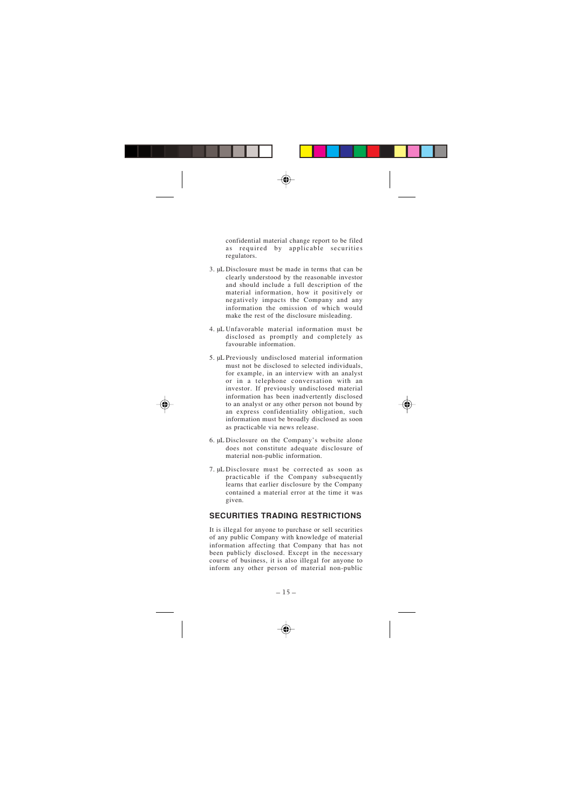confidential material change report to be filed as required by applicable securities regulators.

- 3. µL Disclosure must be made in terms that can be clearly understood by the reasonable investor and should include a full description of the material information, how it positively or negatively impacts the Company and any information the omission of which would make the rest of the disclosure misleading.
- 4. µL Unfavorable material information must be disclosed as promptly and completely as favourable information.
- 5. µL Previously undisclosed material information must not be disclosed to selected individuals, for example, in an interview with an analyst or in a telephone conversation with an investor. If previously undisclosed material information has been inadvertently disclosed to an analyst or any other person not bound by an express confidentiality obligation, such information must be broadly disclosed as soon as practicable via news release.
- 6. µL Disclosure on the Company 's website alone does not constitute adequate disclosure of material non-public information.
- 7. µL Disclosure must be corrected as soon as practicable if the Company subsequently learns that earlier disclosure by the Company contained a material error at the time it was given.

## **SECURITIES TRADING RESTRICTIONS**

It is illegal for anyone to purchase or sell securities of any public Company with knowledge of material information affecting that Company that has not been publicly disclosed. Except in the necessary course of business, it is also illegal for anyone to inform any other person of material non-public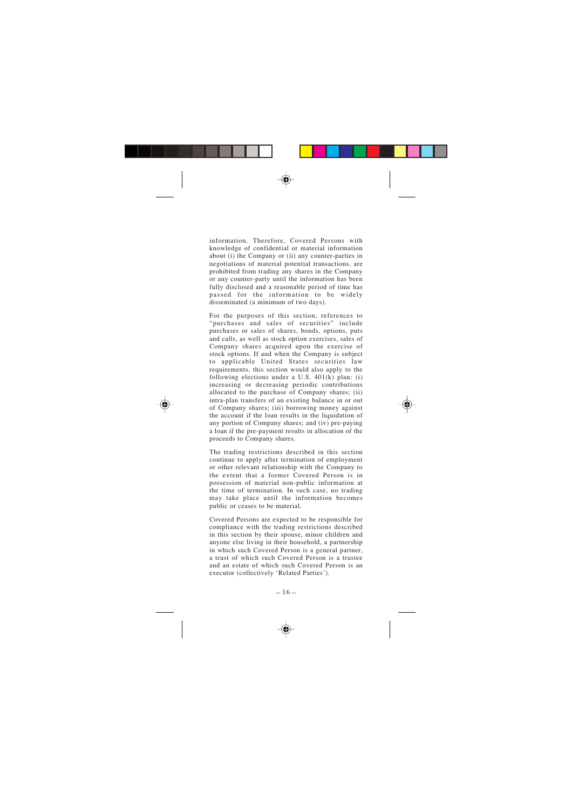information. Therefore, Covered Persons with knowledge of confidential or material information about (i) the Company or (ii) any counter-parties in negotiations of material potential transactions, are prohibited from trading any shares in the Company or any counter-party until the information has been fully disclosed and a reasonable period of time has passed for the information to be widely disseminated (a minimum of two days).

For the purposes of this section, references to "purchases and sales of securities" include purchases or sales of shares, bonds, options, puts and calls, as well as stock option exercises, sales of Company shares acquired upon the exercise of stock options. If and when the Company is subject to applicable United States securities law requirements, this section would also apply to the following elections under a U.S.  $401(k)$  plan: (i) increasing or decreasing periodic contributions allocated to the purchase of Company shares; (ii) intra-plan transfers of an existing balance in or out of Company shares; (iii) borrowing money against the account if the loan results in the liquidation of any portion of Company shares; and (iv) pre-paying a loan if the pre-payment results in allocation of the proceeds to Company shares.

The trading restrictions described in this section continue to apply after termination of employment or other relevant relationship with the Company to the extent that a former Covered Person is in possession of material non-public information at the time of termination. In such case, no trading may take place until the information becomes public or ceases to be material.

Covered Persons are expected to be responsible for compliance with the trading restrictions described in this section by their spouse, minor children and anyone else living in their household, a partnership in which such Covered Person is a general partner, a trust of which such Covered Person is a trustee and an estate of which such Covered Person is an executor (collectively 'Related Parties ').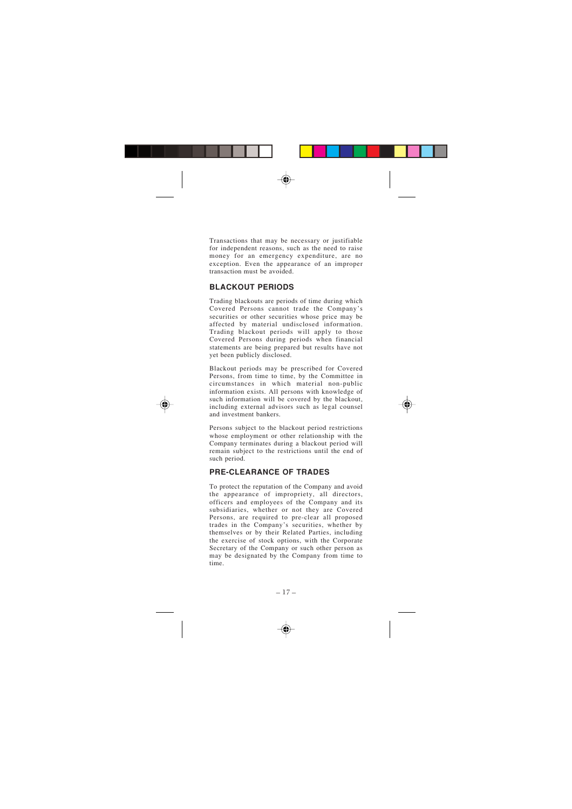Transactions that may be necessary or justifiable for independent reasons, such as the need to raise money for an emergency expenditure, are no exception. Even the appearance of an improper transaction must be avoided.

# **BLACKOUT PERIODS**

Trading blackouts are periods of time during which Covered Persons cannot trade the Company ' s securities or other securities whose price may be affected by material undisclosed information. Trading blackout periods will apply to those Covered Persons during periods when financial statements are being prepared but results have not yet been publicly disclosed.

Blackout periods may be prescribed for Covered Persons, from time to time, by the Committee in circumstances in which material non-public information exists. All persons with knowledge of such information will be covered by the blackout, including external advisors such as legal counsel and investment bankers.

Persons subject to the blackout period restrictions whose employment or other relationship with the Company terminates during a blackout period will remain subject to the restrictions until the end of such period.

# **PRE-CLEARANCE OF TRADES**

To protect the reputation of the Company and avoid the appearance of impropriety, all directors, officers and employees of the Company and its subsidiaries, whether or not they are Covered Persons, are required to pre-clear all proposed trades in the Company 's securities, whether by themselves or by their Related Parties, including the exercise of stock options, with the Corporate Secretary of the Company or such other person as may be designated by the Company from time to time.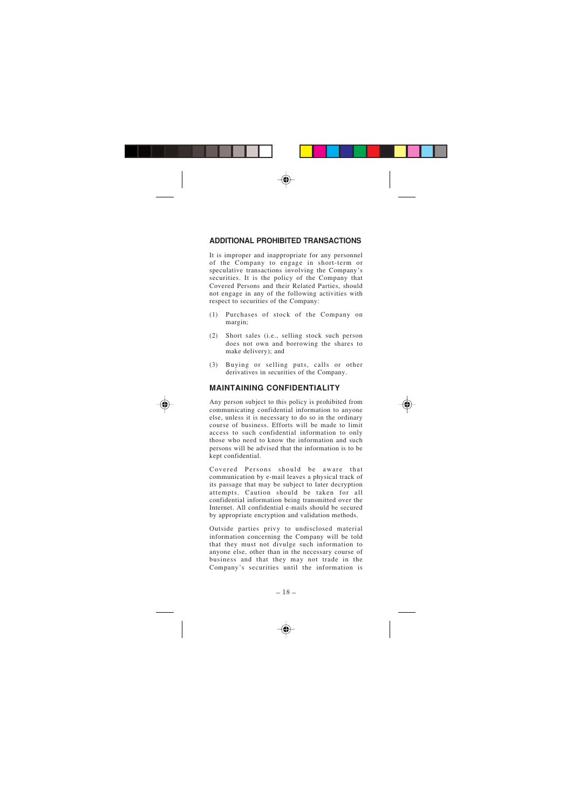# **ADDITIONAL PROHIBITED TRANSACTIONS**

It is improper and inappropriate for any personnel of the Company to engage in short-term or speculative transactions involving the Company ' s securities. It is the policy of the Company that Covered Persons and their Related Parties, should not engage in any of the following activities with respect to securities of the Company:

- (1) Purchases of stock of the Company on margin;
- (2) Short sales (i.e., selling stock such person does not own and borrowing the shares to make delivery); and
- (3) Buying or selling puts, calls or other derivatives in securities of the Company.

## **MAINTAINING CONFIDENTIALITY**

Any person subject to this policy is prohibited from communicating confidential information to anyone else, unless it is necessary to do so in the ordinary course of business. Efforts will be made to limit access to such confidential information to only those who need to know the information and such persons will be advised that the information is to be kept confidential.

Covered Persons should be aware that communication by e-mail leaves a physical track of its passage that may be subject to later decryption attempts. Caution should be taken for all confidential information being transmitted over the Internet. All confidential e-mails should be secured by appropriate encryption and validation methods.

Outside parties privy to undisclosed material information concerning the Company will be told that they must not divulge such information to anyone else, other than in the necessary course of business and that they may not trade in the Company 's securities until the information is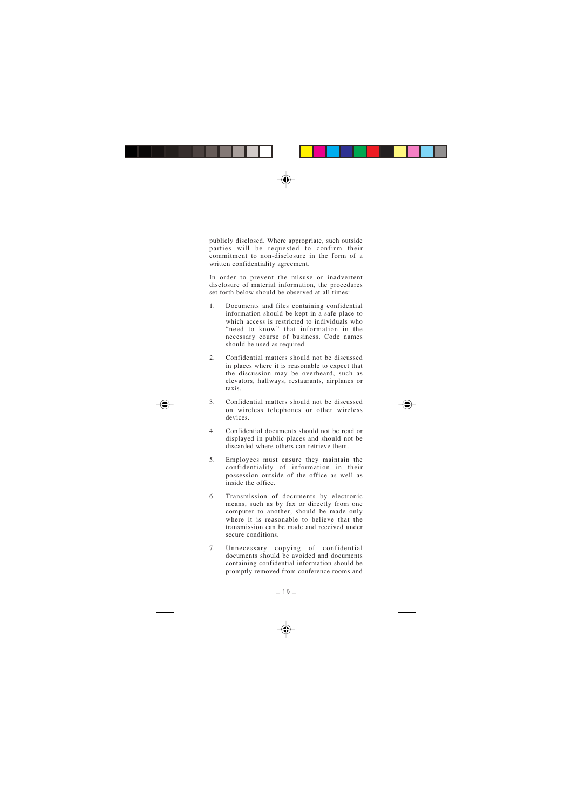publicly disclosed. Where appropriate, such outside parties will be requested to confirm their commitment to non-disclosure in the form of a written confidentiality agreement.

In order to prevent the misuse or inadvertent disclosure of material information, the procedures set forth below should be observed at all times:

- 1. Documents and files containing confidential information should be kept in a safe place to which access is restricted to individuals who "need to know" that information in the necessary course of business. Code names should be used as required.
- 2. Confidential matters should not be discussed in places where it is reasonable to expect that the discussion may be overheard, such as elevators, hallways, restaurants, airplanes or taxis.
- 3. Confidential matters should not be discussed on wireless telephones or other wireless devices.
- 4. Confidential documents should not be read or displayed in public places and should not be discarded where others can retrieve them.
- 5. Employees must ensure they maintain the confidentiality of information in their possession outside of the office as well as inside the office.
- 6. Transmission of documents by electronic means, such as by fax or directly from one computer to another, should be made only where it is reasonable to believe that the transmission can be made and received under secure conditions.
- 7. Unnecessary copying of confidential documents should be avoided and documents containing confidential information should be promptly removed from conference rooms and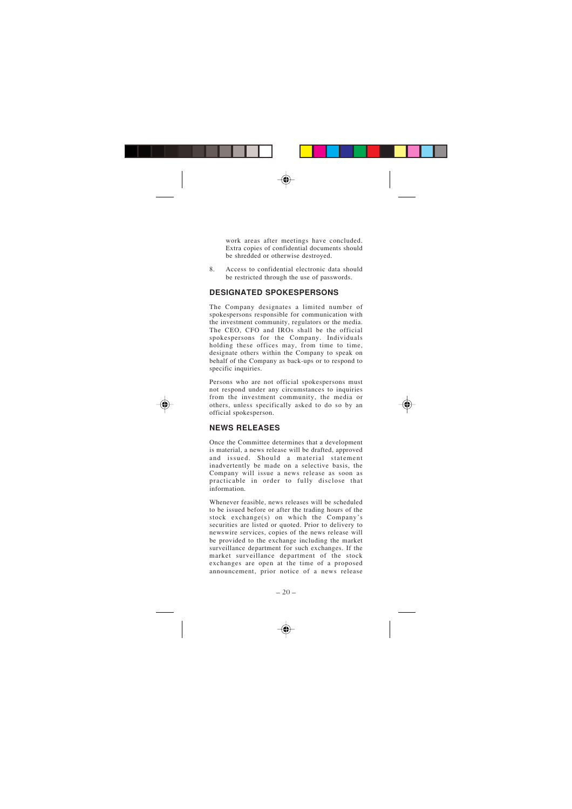work areas after meetings have concluded. Extra copies of confidential documents should be shredded or otherwise destroyed.

8. Access to confidential electronic data should be restricted through the use of passwords.

## **DESIGNATED SPOKESPERSONS**

The Company designates a limited number of spokespersons responsible for communication with the investment community, regulators or the media. The CEO, CFO and IROs shall be the official spokespersons for the Company. Individuals holding these offices may, from time to time. designate others within the Company to speak on behalf of the Company as back-ups or to respond to specific inquiries.

Persons who are not official spokespersons must not respond under any circumstances to inquiries from the investment community, the media or others, unless specifically asked to do so by an official spokesperson.

# **NEWS RELEASES**

Once the Committee determines that a development is material, a news release will be drafted, approved and issued. Should a material statement inadvertently be made on a selective basis, the Company will issue a news release as soon as practicable in order to fully disclose that information.

Whenever feasible, news releases will be scheduled to be issued before or after the trading hours of the stock exchange(s) on which the Company ' s securities are listed or quoted. Prior to delivery to newswire services, copies of the news release will be provided to the exchange including the market surveillance department for such exchanges. If the market surveillance department of the stock exchanges are open at the time of a proposed announcement, prior notice of a news release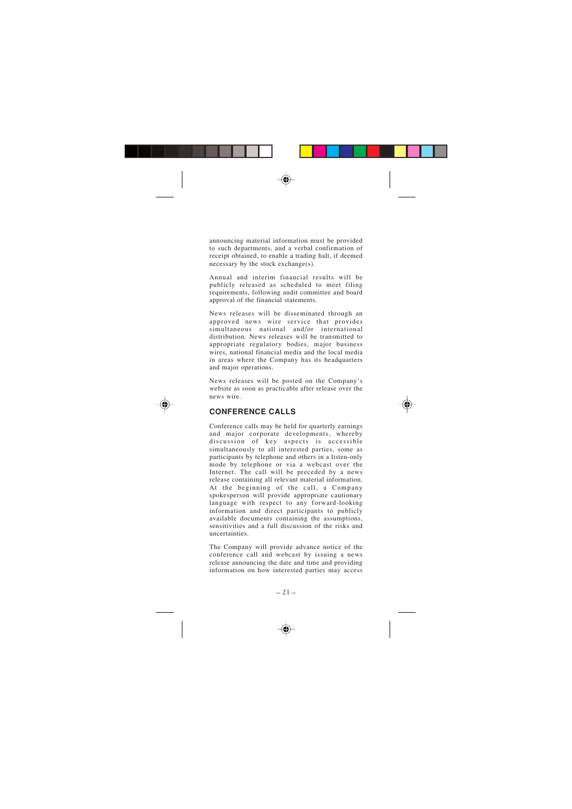announcing material information must be provided to such departments, and a verbal confirmation of receipt obtained, to enable a trading halt, if deemed necessary by the stock exchange(s).

Annual and interim financial results will be publicly released as scheduled to meet filing requirements, following audit committee and board approval of the financial statements.

News releases will be disseminated through an approved news wire service that provides simultaneous national and/or international distribution. News releases will be transmitted to appropriate regulatory bodies, major business wires, national financial media and the local media in areas where the Company has its headquarters and major operations.

News releases will be posted on the Company ' s website as soon as practicable after release over the news wire.

# **CONFERENCE CALLS**

Conference calls may be held for quarterly earnings and major corporate developments, whereby discussion of key aspects is accessible simultaneously to all interested parties, some as participants by telephone and others in a listen-only mode by telephone or via a webcast over the Internet. The call will be preceded by a news release containing all relevant material information. At the beginning of the call, a Company spokesperson will provide appropriate cautionary language with respect to any forward-looking information and direct participants to publicly available documents containing the assumptions, sensitivities and a full discussion of the risks and uncertainties.

The Company will provide advance notice of the conference call and webcast by issuing a news release announcing the date and time and providing information on how interested parties may access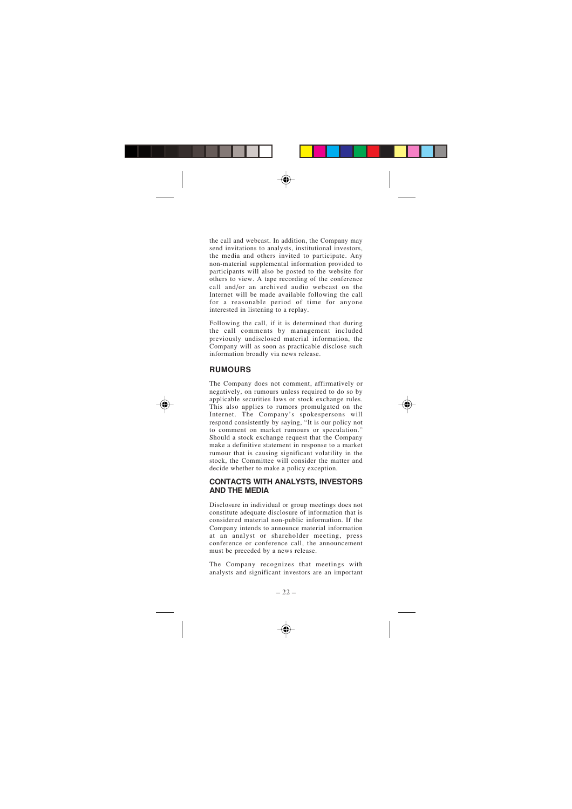the call and webcast. In addition, the Company may send invitations to analysts, institutional investors, the media and others invited to participate. Any non-material supplemental information provided to participants will also be posted to the website for others to view. A tape recording of the conference call and/or an archived audio webcast on the Internet will be made available following the call for a reasonable period of time for anyone interested in listening to a replay.

Following the call, if it is determined that during the call comments by management included previously undisclosed material information, the Company will as soon as practicable disclose such information broadly via news release.

# **RUMOURS**

The Company does not comment, affirmatively or negatively, on rumours unless required to do so by applicable securities laws or stock exchange rules. This also applies to rumors promulgated on the Internet. The Company 's spokespersons will respond consistently by saying, "It is our policy not to comment on market rumours or speculation. " Should a stock exchange request that the Company make a definitive statement in response to a market rumour that is causing significant volatility in the stock, the Committee will consider the matter and decide whether to make a policy exception.

## **CONTACTS WITH ANALYSTS, INVESTORS AND THE MEDIA**

Disclosure in individual or group meetings does not constitute adequate disclosure of information that is considered material non-public information. If the Company intends to announce material information at an analyst or shareholder meeting, press conference or conference call, the announcement must be preceded by a news release.

The Company recognizes that meetings with analysts and significant investors are an important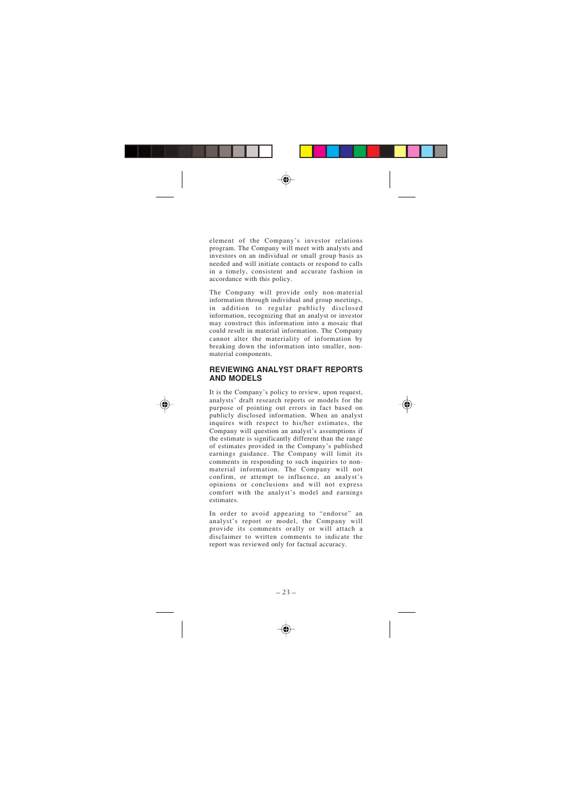element of the Company 's investor relations program. The Company will meet with analysts and investors on an individual or small group basis as needed and will initiate contacts or respond to calls in a timely, consistent and accurate fashion in accordance with this policy.

The Company will provide only non-material information through individual and group meetings, in addition to regular publicly disclosed information, recognizing that an analyst or investor may construct this information into a mosaic that could result in material information. The Company cannot alter the materiality of information by breaking down the information into smaller, nonmaterial components.

## **REVIEWING ANALYST DRAFT REPORTS AND MODELS**

It is the Company 's policy to review, upon request, analysts ' draft research reports or models for the purpose of pointing out errors in fact based on publicly disclosed information. When an analyst inquires with respect to his/her estimates, the Company will question an analyst 's assumptions if the estimate is significantly different than the range of estimates provided in the Company 's published earnings guidance. The Company will limit its comments in responding to such inquiries to nonmaterial information. The Company will not confirm, or attempt to influence, an analyst ' s opinions or conclusions and will not express comfort with the analyst 's model and earnings estimates.

In order to avoid appearing to "endorse" an analyst 's report or model, the Company will provide its comments orally or will attach a disclaimer to written comments to indicate the report was reviewed only for factual accuracy.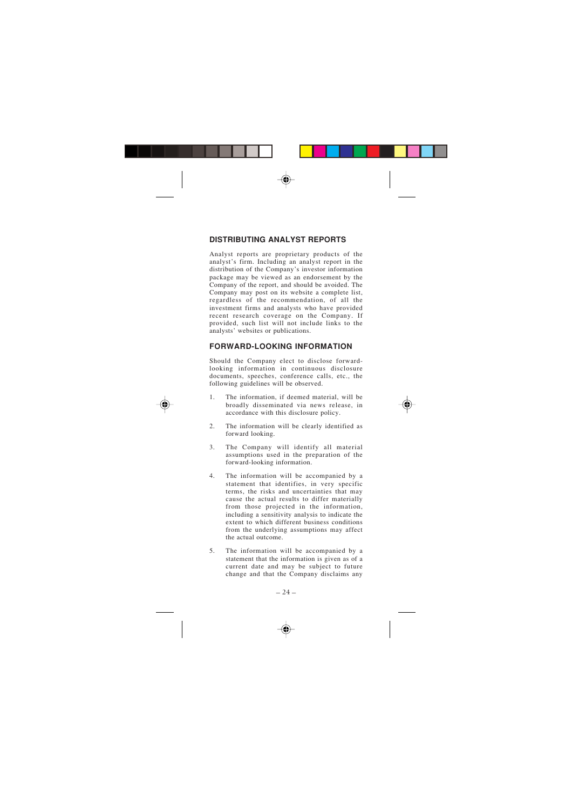# **DISTRIBUTING ANALYST REPORTS**

Analyst reports are proprietary products of the analyst 's firm. Including an analyst report in the distribution of the Company 's investor information package may be viewed as an endorsement by the Company of the report, and should be avoided. The Company may post on its website a complete list, regardless of the recommendation, of all the investment firms and analysts who have provided recent research coverage on the Company. If provided, such list will not include links to the analysts ' websites or publications.

# **FORWARD-LOOKING INFORMATION**

Should the Company elect to disclose forwardlooking information in continuous disclosure documents, speeches, conference calls, etc., the following guidelines will be observed.

- 1. The information, if deemed material, will be broadly disseminated via news release, in accordance with this disclosure policy.
- 2. The information will be clearly identified as forward looking.
- 3. The Company will identify all material assumptions used in the preparation of the forward-looking information.
- 4. The information will be accompanied by a statement that identifies, in very specific terms, the risks and uncertainties that may cause the actual results to differ materially from those projected in the information, including a sensitivity analysis to indicate the extent to which different business conditions from the underlying assumptions may affect the actual outcome.
- 5. The information will be accompanied by a statement that the information is given as of a current date and may be subject to future change and that the Company disclaims any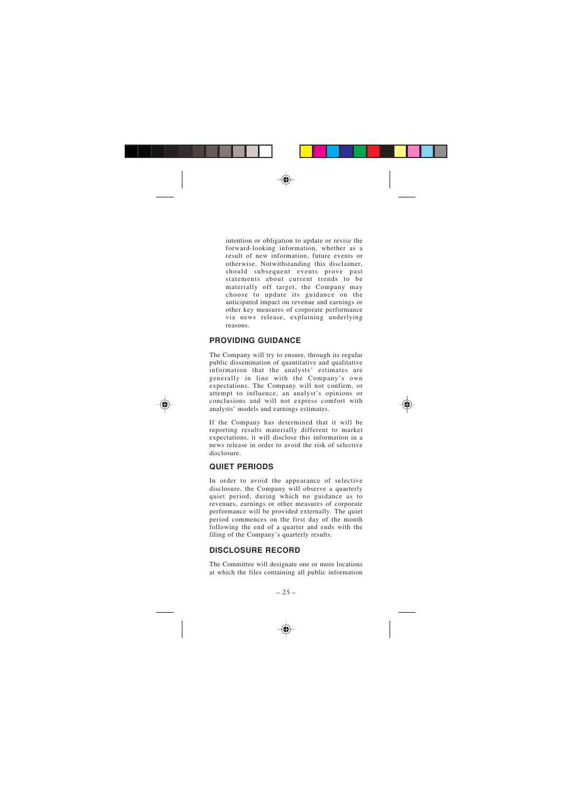intention or obligation to update or revise the forward-looking information, whether as a result of new information, future events or otherwise. Notwithstanding this disclaimer, should subsequent events prove past<br>statements about current trends to be statements about current trends to materially off target, the Company may choose to update its guidance on the anticipated impact on revenue and earnings or other key measures of corporate performance via news release, explaining underlying reasons.

# **PROVIDING GUIDANCE**

The Company will try to ensure, through its regular public dissemination of quantitative and qualitative information that the analysts ' estimates are generally in line with the Company 's own expectations. The Company will not confirm, or attempt to influence, an analyst 's opinions or conclusions and will not express comfort with analysts ' models and earnings estimates.

If the Company has determined that it will be reporting results materially different to market expectations, it will disclose this information in a news release in order to avoid the risk of selective disclosure.

# **QUIET PERIODS**

In order to avoid the appearance of selective disclosure, the Company will observe a quarterly quiet period, during which no guidance as to revenues, earnings or other measures of corporate performance will be provided externally. The quiet period commences on the first day of the month following the end of a quarter and ends with the filing of the Company 's quarterly results.

# **DISCLOSURE RECORD**

The Committee will designate one or more locations at which the files containing all public information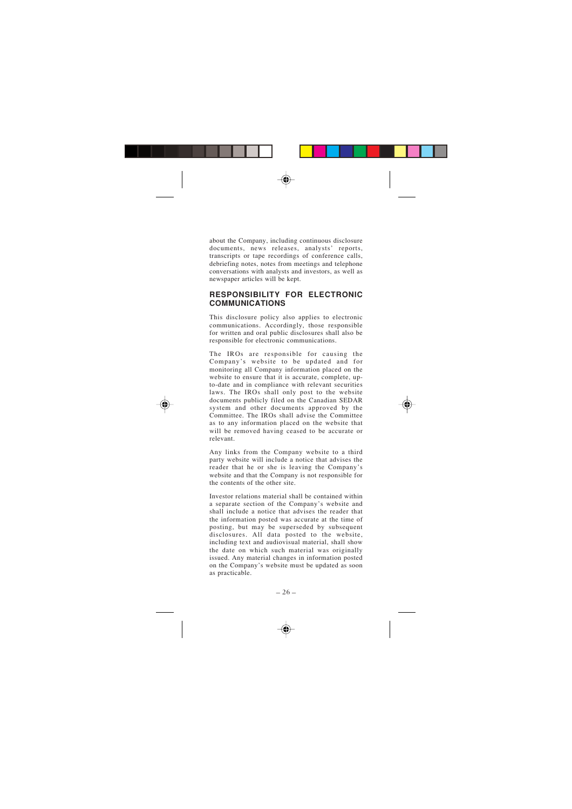about the Company, including continuous disclosure documents, news releases, analysts ' reports, transcripts or tape recordings of conference calls, debriefing notes, notes from meetings and telephone conversations with analysts and investors, as well as newspaper articles will be kept.

## **RESPONSIBILITY FOR ELECTRONIC COMMUNICATIONS**

This disclosure policy also applies to electronic communications. Accordingly, those responsible for written and oral public disclosures shall also be responsible for electronic communications.

The IROs are responsible for causing the Company 's website to be updated and for monitoring all Company information placed on the website to ensure that it is accurate, complete, upto-date and in compliance with relevant securities laws. The IROs shall only post to the website documents publicly filed on the Canadian SEDAR system and other documents approved by the Committee. The IROs shall advise the Committee as to any information placed on the website that will be removed having ceased to be accurate or relevant.

Any links from the Company website to a third party website will include a notice that advises the reader that he or she is leaving the Company ' s website and that the Company is not responsible for the contents of the other site.

Investor relations material shall be contained within a separate section of the Company 's website and shall include a notice that advises the reader that the information posted was accurate at the time of posting, but may be superseded by subsequent disclosures. All data posted to the website, including text and audiovisual material, shall show the date on which such material was originally issued. Any material changes in information posted on the Company 's website must be updated as soon as practicable.